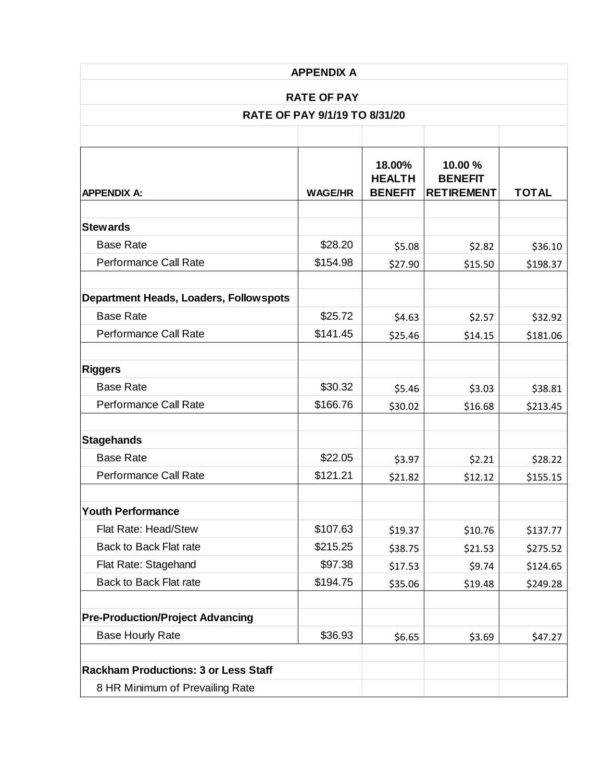| <b>APPENDIX A</b><br><b>RATE OF PAY</b>        |                |                                           |                                                |                     |
|------------------------------------------------|----------------|-------------------------------------------|------------------------------------------------|---------------------|
|                                                |                |                                           |                                                |                     |
|                                                |                |                                           |                                                |                     |
| <b>APPENDIX A:</b>                             | <b>WAGE/HR</b> | 18.00%<br><b>HEALTH</b><br><b>BENEFIT</b> | 10.00 %<br><b>BENEFIT</b><br><b>RETIREMENT</b> | <b>TOTAL</b>        |
| <b>Stewards</b>                                |                |                                           |                                                |                     |
| <b>Base Rate</b>                               | \$28.20        | \$5.08                                    | \$2.82                                         | \$36.10             |
| Performance Call Rate                          | \$154.98       | \$27.90                                   | \$15.50                                        | \$198.37            |
| <b>Department Heads, Loaders, Follow spots</b> |                |                                           |                                                |                     |
| <b>Base Rate</b>                               | \$25.72        | \$4.63                                    | \$2.57                                         | \$32.92             |
| Performance Call Rate                          | \$141.45       | \$25.46                                   | \$14.15                                        | \$181.06            |
| <b>Riggers</b>                                 |                |                                           |                                                |                     |
| <b>Base Rate</b>                               | \$30.32        | \$5.46                                    | \$3.03                                         | \$38.81             |
| Performance Call Rate                          | \$166.76       | \$30.02                                   | \$16.68                                        | \$213.45            |
|                                                |                |                                           |                                                |                     |
| <b>Stagehands</b><br><b>Base Rate</b>          | \$22.05        |                                           |                                                |                     |
| Performance Call Rate                          | \$121.21       | \$3.97<br>\$21.82                         | \$2.21<br>\$12.12                              | \$28.22<br>\$155.15 |
|                                                |                |                                           |                                                |                     |
| <b>Youth Performance</b>                       |                |                                           |                                                |                     |
| Flat Rate: Head/Stew                           | \$107.63       | \$19.37                                   | \$10.76                                        | \$137.77            |
| Back to Back Flat rate                         | \$215.25       | \$38.75                                   | \$21.53                                        | \$275.52            |
| Flat Rate: Stagehand                           | \$97.38        | \$17.53                                   | \$9.74                                         | \$124.65            |
| <b>Back to Back Flat rate</b>                  | \$194.75       | \$35.06                                   | \$19.48                                        | \$249.28            |
| <b>Pre-Production/Project Advancing</b>        |                |                                           |                                                |                     |
| <b>Base Hourly Rate</b>                        | \$36.93        | \$6.65                                    | \$3.69                                         | \$47.27             |
| <b>Rackham Productions: 3 or Less Staff</b>    |                |                                           |                                                |                     |
| 8 HR Minimum of Prevailing Rate                |                |                                           |                                                |                     |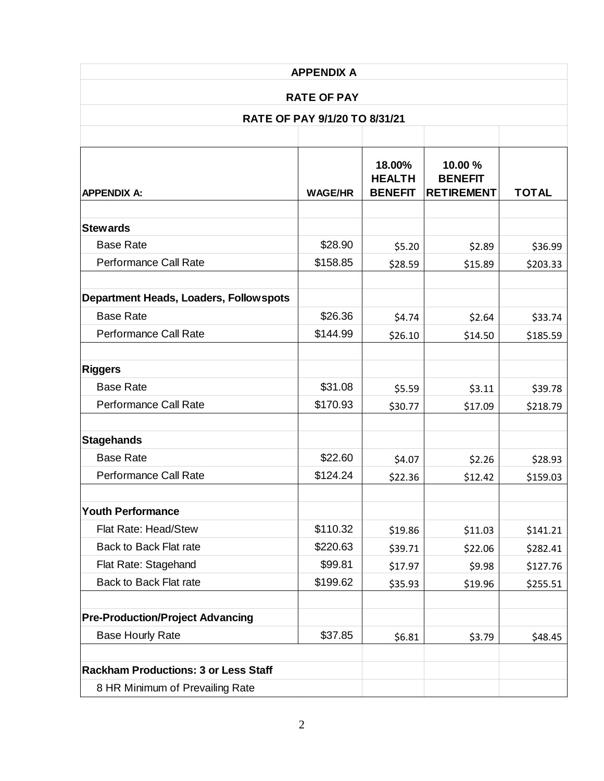| <b>APPENDIX A</b>                                   |                |                                           |                                                |              |
|-----------------------------------------------------|----------------|-------------------------------------------|------------------------------------------------|--------------|
| <b>RATE OF PAY</b><br>RATE OF PAY 9/1/20 TO 8/31/21 |                |                                           |                                                |              |
|                                                     |                |                                           |                                                |              |
| <b>APPENDIX A:</b>                                  | <b>WAGE/HR</b> | 18.00%<br><b>HEALTH</b><br><b>BENEFIT</b> | 10.00 %<br><b>BENEFIT</b><br><b>RETIREMENT</b> | <b>TOTAL</b> |
| <b>Stewards</b>                                     |                |                                           |                                                |              |
| <b>Base Rate</b>                                    | \$28.90        | \$5.20                                    | \$2.89                                         | \$36.99      |
| Performance Call Rate                               | \$158.85       | \$28.59                                   | \$15.89                                        | \$203.33     |
| <b>Department Heads, Loaders, Follow spots</b>      |                |                                           |                                                |              |
| <b>Base Rate</b>                                    | \$26.36        | \$4.74                                    | \$2.64                                         | \$33.74      |
| Performance Call Rate                               | \$144.99       | \$26.10                                   | \$14.50                                        | \$185.59     |
| <b>Riggers</b>                                      |                |                                           |                                                |              |
| <b>Base Rate</b>                                    | \$31.08        | \$5.59                                    | \$3.11                                         | \$39.78      |
| <b>Performance Call Rate</b>                        | \$170.93       | \$30.77                                   | \$17.09                                        | \$218.79     |
| <b>Stagehands</b>                                   |                |                                           |                                                |              |
| <b>Base Rate</b>                                    | \$22.60        | \$4.07                                    | \$2.26                                         | \$28.93      |
| Performance Call Rate                               | \$124.24       | \$22.36                                   | \$12.42                                        | \$159.03     |
| <b>Youth Performance</b>                            |                |                                           |                                                |              |
| Flat Rate: Head/Stew                                | \$110.32       | \$19.86                                   | \$11.03                                        | \$141.21     |
| Back to Back Flat rate                              | \$220.63       | \$39.71                                   | \$22.06                                        | \$282.41     |
| Flat Rate: Stagehand                                | \$99.81        | \$17.97                                   | \$9.98                                         | \$127.76     |
| <b>Back to Back Flat rate</b>                       | \$199.62       | \$35.93                                   | \$19.96                                        | \$255.51     |
| <b>Pre-Production/Project Advancing</b>             |                |                                           |                                                |              |
| <b>Base Hourly Rate</b>                             | \$37.85        | \$6.81                                    | \$3.79                                         | \$48.45      |
| <b>Rackham Productions: 3 or Less Staff</b>         |                |                                           |                                                |              |
| 8 HR Minimum of Prevailing Rate                     |                |                                           |                                                |              |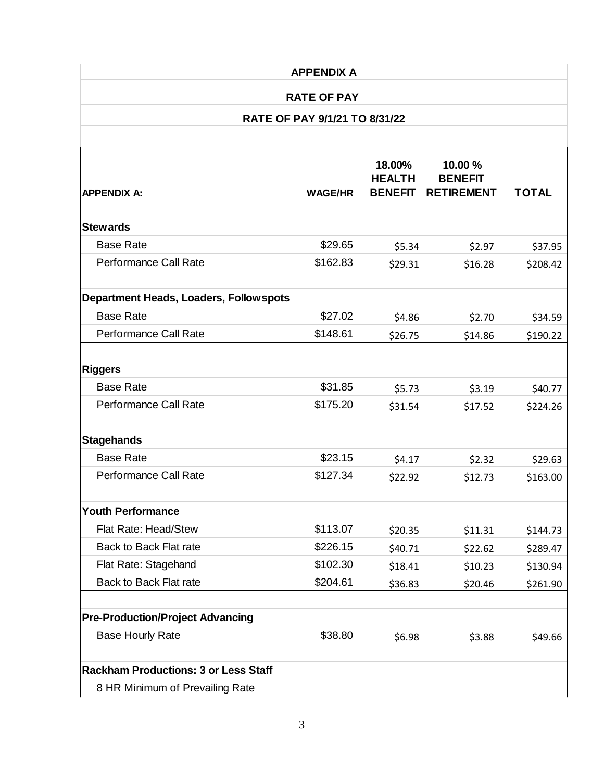| <b>APPENDIX A</b><br><b>RATE OF PAY</b><br>RATE OF PAY 9/1/21 TO 8/31/22 |          |         |         |          |                    |                |                                           |                                                |              |
|--------------------------------------------------------------------------|----------|---------|---------|----------|--------------------|----------------|-------------------------------------------|------------------------------------------------|--------------|
|                                                                          |          |         |         |          |                    |                |                                           |                                                |              |
|                                                                          |          |         |         |          | <b>APPENDIX A:</b> | <b>WAGE/HR</b> | 18.00%<br><b>HEALTH</b><br><b>BENEFIT</b> | 10.00 %<br><b>BENEFIT</b><br><b>RETIREMENT</b> | <b>TOTAL</b> |
| <b>Stewards</b>                                                          |          |         |         |          |                    |                |                                           |                                                |              |
| <b>Base Rate</b>                                                         | \$29.65  | \$5.34  | \$2.97  | \$37.95  |                    |                |                                           |                                                |              |
| Performance Call Rate                                                    | \$162.83 | \$29.31 | \$16.28 | \$208.42 |                    |                |                                           |                                                |              |
| <b>Department Heads, Loaders, Follow spots</b>                           |          |         |         |          |                    |                |                                           |                                                |              |
| <b>Base Rate</b>                                                         | \$27.02  | \$4.86  | \$2.70  | \$34.59  |                    |                |                                           |                                                |              |
| Performance Call Rate                                                    | \$148.61 | \$26.75 | \$14.86 | \$190.22 |                    |                |                                           |                                                |              |
| <b>Riggers</b>                                                           |          |         |         |          |                    |                |                                           |                                                |              |
| <b>Base Rate</b>                                                         | \$31.85  | \$5.73  | \$3.19  | \$40.77  |                    |                |                                           |                                                |              |
| <b>Performance Call Rate</b>                                             | \$175.20 | \$31.54 | \$17.52 | \$224.26 |                    |                |                                           |                                                |              |
| <b>Stagehands</b>                                                        |          |         |         |          |                    |                |                                           |                                                |              |
| <b>Base Rate</b>                                                         | \$23.15  | \$4.17  | \$2.32  | \$29.63  |                    |                |                                           |                                                |              |
| Performance Call Rate                                                    | \$127.34 | \$22.92 | \$12.73 | \$163.00 |                    |                |                                           |                                                |              |
| <b>Youth Performance</b>                                                 |          |         |         |          |                    |                |                                           |                                                |              |
| Flat Rate: Head/Stew                                                     | \$113.07 | \$20.35 | \$11.31 | \$144.73 |                    |                |                                           |                                                |              |
| <b>Back to Back Flat rate</b>                                            | \$226.15 | \$40.71 | \$22.62 | \$289.47 |                    |                |                                           |                                                |              |
| Flat Rate: Stagehand                                                     | \$102.30 | \$18.41 | \$10.23 | \$130.94 |                    |                |                                           |                                                |              |
| Back to Back Flat rate                                                   | \$204.61 | \$36.83 | \$20.46 | \$261.90 |                    |                |                                           |                                                |              |
| <b>Pre-Production/Project Advancing</b>                                  |          |         |         |          |                    |                |                                           |                                                |              |
| <b>Base Hourly Rate</b>                                                  | \$38.80  | \$6.98  | \$3.88  | \$49.66  |                    |                |                                           |                                                |              |
| <b>Rackham Productions: 3 or Less Staff</b>                              |          |         |         |          |                    |                |                                           |                                                |              |
| 8 HR Minimum of Prevailing Rate                                          |          |         |         |          |                    |                |                                           |                                                |              |